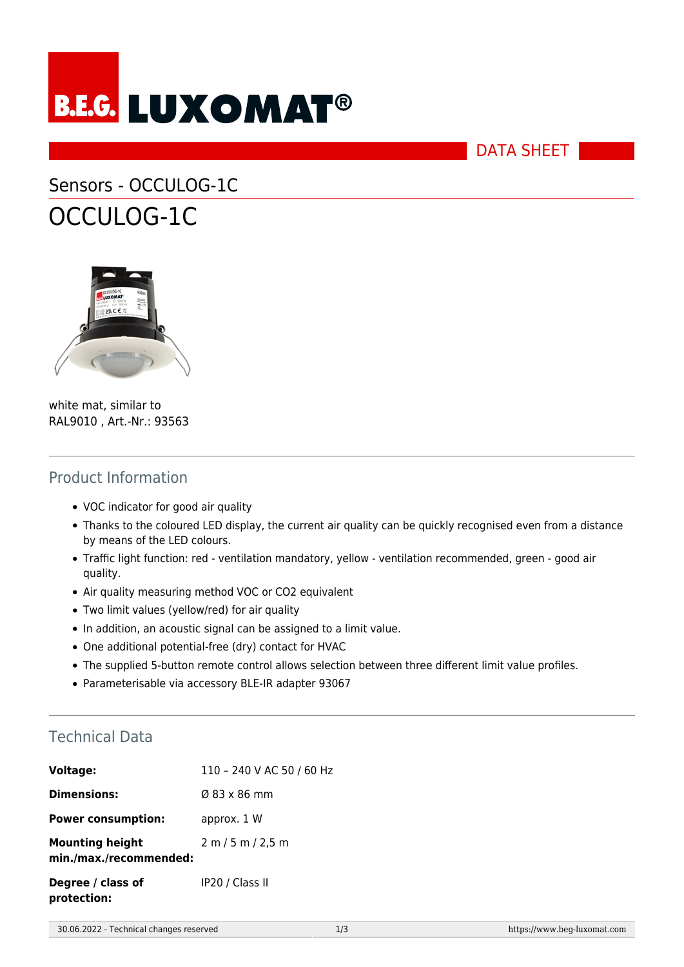

DATA SHEET

# Sensors - OCCULOG-1C OCCULOG-1C



white mat, similar to RAL9010 , Art.-Nr.: 93563

#### Product Information

- VOC indicator for good air quality
- Thanks to the coloured LED display, the current air quality can be quickly recognised even from a distance by means of the LED colours.
- Traffic light function: red ventilation mandatory, yellow ventilation recommended, green good air quality.
- Air quality measuring method VOC or CO2 equivalent
- Two limit values (yellow/red) for air quality
- In addition, an acoustic signal can be assigned to a limit value.
- One additional potential-free (dry) contact for HVAC
- The supplied 5-button remote control allows selection between three different limit value profiles.
- Parameterisable via accessory BLE-IR adapter 93067

#### Technical Data

| <b>Voltage:</b>                                  | 110 - 240 V AC 50 / 60 Hz |
|--------------------------------------------------|---------------------------|
| <b>Dimensions:</b>                               | $\varnothing$ 83 x 86 mm  |
| <b>Power consumption:</b>                        | approx. 1 W               |
| <b>Mounting height</b><br>min./max./recommended: | 2 m / 5 m / 2.5 m         |
| Degree / class of<br>protection:                 | IP20 / Class II           |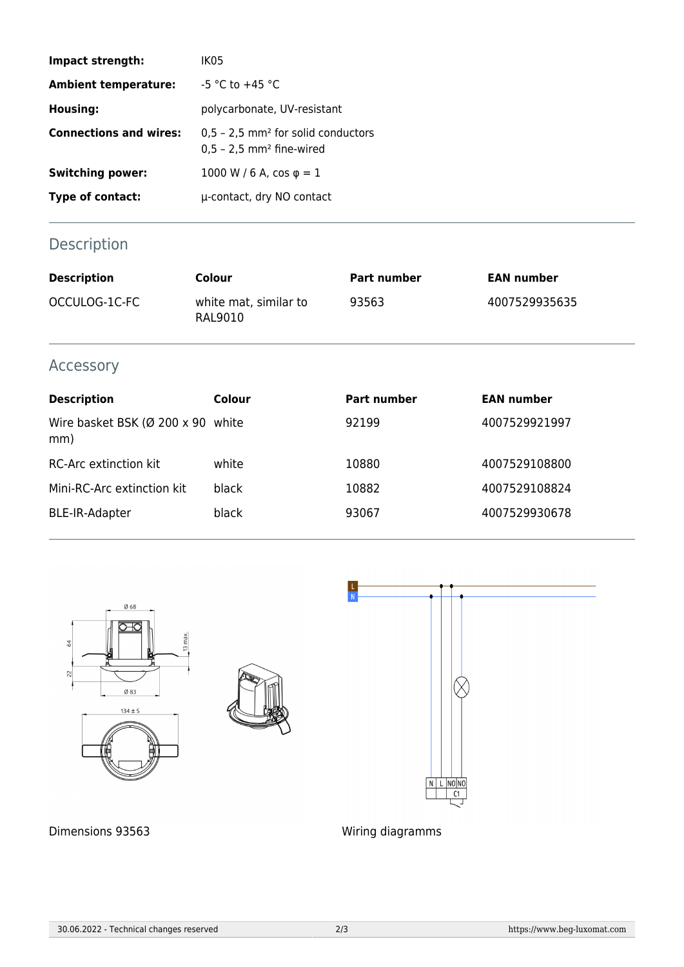| Impact strength:              | IK <sub>0</sub> 5                                                                          |
|-------------------------------|--------------------------------------------------------------------------------------------|
| <b>Ambient temperature:</b>   | $-5$ °C to $+45$ °C                                                                        |
| <b>Housing:</b>               | polycarbonate, UV-resistant                                                                |
| <b>Connections and wires:</b> | $0.5 - 2.5$ mm <sup>2</sup> for solid conductors<br>$0.5 - 2.5$ mm <sup>2</sup> fine-wired |
| <b>Switching power:</b>       | 1000 W / 6 A, $\cos \varphi = 1$                                                           |
| Type of contact:              | µ-contact, dry NO contact                                                                  |

## Description

| <b>Description</b> | Colour                           | Part number | <b>EAN number</b> |
|--------------------|----------------------------------|-------------|-------------------|
| OCCULOG-1C-FC      | white mat, similar to<br>RAL9010 | 93563       | 4007529935635     |

### Accessory

| <b>Description</b>                                    | Colour | <b>Part number</b> | <b>EAN number</b> |
|-------------------------------------------------------|--------|--------------------|-------------------|
| Wire basket BSK ( $\varnothing$ 200 x 90 white<br>mm) |        | 92199              | 4007529921997     |
| <b>RC-Arc extinction kit</b>                          | white  | 10880              | 4007529108800     |
| Mini-RC-Arc extinction kit                            | black  | 10882              | 4007529108824     |
| <b>BLE-IR-Adapter</b>                                 | black  | 93067              | 4007529930678     |